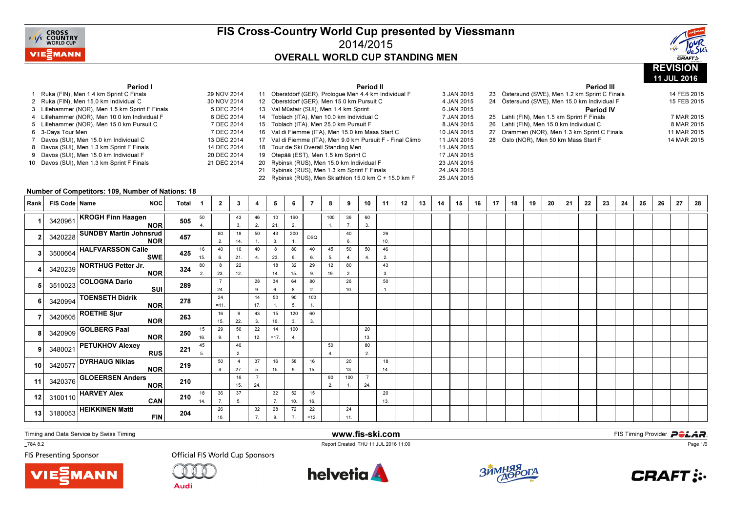

Period II



11 JUL 2016

#### Period I

| 1.              | Ruka (FIN), Men 1.4 km Sprint C Finals        | 29 NOV 2014 |
|-----------------|-----------------------------------------------|-------------|
|                 | 2 Ruka (FIN), Men 15.0 km Individual C        | 30 NOV 2014 |
| 3               | Lillehammer (NOR), Men 1.5 km Sprint F Finals | 5 DEC 2014  |
|                 | 4 Lillehammer (NOR), Men 10.0 km Individual F | 6 DEC 2014  |
|                 | 5 Lillehammer (NOR), Men 15.0 km Pursuit C    | 7 DEC 2014  |
| 6               | 3-Days Tour Men                               | 7 DEC 2014  |
| 7               | Davos (SUI), Men 15.0 km Individual C         | 13 DEC 2014 |
| 8               | Davos (SUI), Men 1.3 km Sprint F Finals       | 14 DEC 2014 |
| 9               | Davos (SUI), Men 15.0 km Individual F         | 20 DEC 2014 |
| 10 <sup>1</sup> | Davos (SUI), Men 1.3 km Sprint F Finals       | 21 DEC 2014 |
|                 |                                               |             |

|          |    | renoa ii                                                   |             |
|----------|----|------------------------------------------------------------|-------------|
| $V$ 2014 | 11 | Oberstdorf (GER), Prologue Men 4.4 km Individual F         | 3 JAN 2015  |
| $V$ 2014 |    | 12 Oberstdorf (GER), Men 15.0 km Pursuit C                 | 4 JAN 2015  |
| 2014     |    | 13 Val Müstair (SUI), Men 1.4 km Sprint                    | 6 JAN 2015  |
| C 2014   |    | 14 Toblach (ITA), Men 10.0 km Individual C                 | 7 JAN 2015  |
| ር 2014   |    | 15 Toblach (ITA), Men 25.0 km Pursuit F                    | 8 JAN 2015  |
| 2014     |    | 16 Val di Fiemme (ITA), Men 15.0 km Mass Start C           | 10 JAN 2015 |
| 2014     |    | 17 Val di Fiemme (ITA), Men 9.0 km Pursuit F - Final Climb | 11 JAN 2015 |
| 2014     |    | 18 Tour de Ski Overall Standing Men                        | 11 JAN 2015 |
| 2014     | 19 | Otepää (EST), Men 1.5 km Sprint C                          | 17 JAN 2015 |
| 2014     | 20 | Rybinsk (RUS), Men 15.0 km Individual F                    | 23 JAN 2015 |
|          | 21 | Rybinsk (RUS), Men 1.3 km Sprint F Finals                  | 24 JAN 2015 |
|          | 22 | Rybinsk (RUS), Men Skiathlon 15.0 km C + 15.0 km F         | 25 JAN 2015 |
|          |    |                                                            |             |

#### Period III <sup>23</sup> Östersund (SWE), Men 1.2 km Sprint C Finals 14 FEB 201515 FEB 2015 24 Östersund (SWE), Men 15.0 km Individual F Period IV25 Lahti (FIN), Men 1.5 km Sprint F Finals 7 MAR 2015 8 MAR 2015 26 Lahti (FIN), Men 15.0 km Individual C 11 MAR 2015 27 Drammen (NOR), Men 1.3 km Sprint C Finals 14 MAR 2015 28 Oslo (NOR), Men 50 km Mass Start F

#### Number of Competitors: 109, Number of Nations: 18

| Rank            | FIS Code   Name | <b>NOC</b>                                                         | <b>Total</b> |           | $\mathbf{2}$ | 3                     | 4         | 5            | 6         | 7            | 8         | 9         | 10                   | 11        | 12 | 13 | 14 | 15 | 16 | 17 | 18 | 19 | 20 | 21 | 22 | 23 | 24 | 25 | 26 | 27 | 28 |
|-----------------|-----------------|--------------------------------------------------------------------|--------------|-----------|--------------|-----------------------|-----------|--------------|-----------|--------------|-----------|-----------|----------------------|-----------|----|----|----|----|----|----|----|----|----|----|----|----|----|----|----|----|----|
|                 |                 | 3420961 KROGH Finn Haagen<br><b>NOR</b>                            | 505          | 50        |              | 43<br>3.              | 46<br>2.  | 10<br>21.    | 160<br>2. |              | 100       | 36<br>7.  | 60<br>3.             |           |    |    |    |    |    |    |    |    |    |    |    |    |    |    |    |    |    |
|                 |                 | 3420228 SUNDBY Martin Johnsrud<br><b>NOR</b>                       | 457          |           | 80<br>2.     | 18<br>14.             | 50        | 43<br>3.     | 200       | <b>DSQ</b>   |           | 40<br>6.  |                      | 26<br>10. |    |    |    |    |    |    |    |    |    |    |    |    |    |    |    |    |    |
|                 |                 | 3500664 HALFVARSSON Calle<br><b>SWE</b>                            | 425          | 16<br>15. | 40<br>6.     | 10<br>21.             | 40<br>4.  | 8<br>23.     | 80<br>6.  | 40<br>6.     | 45<br>5.  | 50<br>4.  | 50<br>$\overline{4}$ | 46<br>2.  |    |    |    |    |    |    |    |    |    |    |    |    |    |    |    |    |    |
|                 |                 | 3420239 NORTHUG Petter Jr.<br><b>NOR</b>                           | 324          | 80<br>2.  | 8<br>23.     | 22<br>12.             |           | 18<br>14.    | 32<br>15. | 29<br>9.     | 12<br>19. | 80<br>2.  |                      | 43<br>3.  |    |    |    |    |    |    |    |    |    |    |    |    |    |    |    |    |    |
|                 | 3510023         | COLOGNA Dario<br>SUI                                               | 289          |           | 24.          |                       | 28<br>9.  | 34<br>6.     | 64<br>8.  | 80<br>2.     |           | 26<br>10. |                      | 50        |    |    |    |    |    |    |    |    |    |    |    |    |    |    |    |    |    |
|                 |                 | 3420994 TOENSETH Didrik<br><b>NOR</b>                              | 278          |           | 24<br>$=11.$ |                       | 14<br>17. | 50           | 90<br>5.  | 100          |           |           |                      |           |    |    |    |    |    |    |    |    |    |    |    |    |    |    |    |    |    |
|                 |                 | $3420605$ ROETHE Sjur<br><b>NOR</b>                                | 263          |           | 16<br>15.    | 9<br>22.              | 43<br>3.  | 15<br>16.    | 120<br>3. | 60<br>3.     |           |           |                      |           |    |    |    |    |    |    |    |    |    |    |    |    |    |    |    |    |    |
|                 |                 | $3420909$ GOLBERG Paal<br><b>NOR</b>                               | 250          | 15<br>16. | 29<br>9.     | 50                    | 22<br>12. | 14<br>$=17.$ | 100<br>4  |              |           |           | 20<br>13.            |           |    |    |    |    |    |    |    |    |    |    |    |    |    |    |    |    |    |
|                 |                 | 3480021 PETUKHOV Alexey<br><b>RUS</b>                              | 221          | 45<br>5.  |              | 46<br>2.              |           |              |           |              | 50<br>4   |           | 80<br>2.             |           |    |    |    |    |    |    |    |    |    |    |    |    |    |    |    |    |    |
| 10 <sup>1</sup> | 3420577         | <b>DYRHAUG Niklas</b><br><b>NOR</b>                                | 219          |           | 50<br>4.     | $\overline{4}$<br>27. | 37<br>5.  | 16<br>15.    | 58<br>9.  | 16<br>15.    |           | 20<br>13. |                      | 18<br>14. |    |    |    |    |    |    |    |    |    |    |    |    |    |    |    |    |    |
| 11              |                 | 3420376 GLOEERSEN Anders<br><b>NOR</b>                             | 210          |           |              | 16<br>15.             | 24.       |              |           |              | 80<br>2.  | 100       | 24.                  |           |    |    |    |    |    |    |    |    |    |    |    |    |    |    |    |    |    |
| 12              |                 | $\begin{array}{c c} \hline 3100110 \end{array}$ HARVEY Alex<br>CAN | 210          | 18<br>14. | 36<br>7.     | 37<br>5.              |           | 32<br>7.     | 52<br>10. | 15<br>16.    |           |           |                      | 20<br>13. |    |    |    |    |    |    |    |    |    |    |    |    |    |    |    |    |    |
| 13 <sup>1</sup> |                 | $3180053$ HEIKKINEN Matti<br><b>FIN</b>                            | 204          |           | 26<br>10.    |                       | 32        | 28<br>9      | 72        | 22<br>$=12.$ |           | 24<br>11. |                      |           |    |    |    |    |    |    |    |    |    |    |    |    |    |    |    |    |    |

Timing and Data Service by Swiss Timing

\_78A 8.2

**FIS Presenting Sponsor** 





**Audi** 



www.fis-ski.com

Report Created THU 11 JUL 2016 11:00



**m**<br>FIS Timing Provider<br>Is 11:00



Page 1/6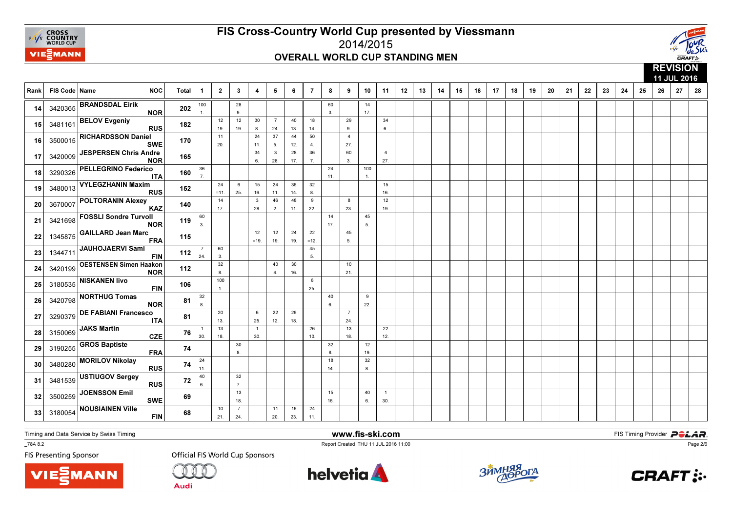



 11 JUL 201628 Rank | FIS Code | Name NOC | Total | 1 │ 2 │ 3 │ 4 │ 5 │ 6 │ 7 │ 8 │ 9 │ 10 │ 11 │ 12 │ 13 │ 14 │ 15 │ 16 │ 17 │ 18 │ 19 9 | 20 | 21 | 22 | 23 | 24 | 25 | 26 | 27 | 28 1001.28 9.60 3.14 17. 143420365 BRANDSDAL Eirik NOR <sup>202</sup> 12 19.12 19.30 8.7 24.40 13.18 14.29 9.34 $6.$ **15** 3481161 ---------  $\frac{1}{2}$  Rus 182 182 19 1 8 24 13 14 9 1  $15$  348116 BELOV Evgeniy<br>RUS <sup>182</sup> 11 20.24 11. $\frac{1}{34}$ 37 5.44 12. $\frac{1}{28}$ 50 4. $\frac{1}{36}$ 427. 27.<sup>16</sup> $\begin{array}{|c|c|c|}\n\hline\n\text{3500015} & \text{RICHARDSSON Daniel} \\
\hline\n\end{array}$ SWE <sup>170</sup> 6.3 28. 17. 7.60 3.4 27. 173420009 JESPERSEN Chris Andre <sup>165</sup> 36 7.24 11.100 $\overline{1}$ . 18 3290326  $\left| \begin{array}{cc} 1.18 & 3.18 & 3.18 \\ 0.18 & 0.18 \\ 0.18 & 0.18 \\ 0.18 & 0.18 \\ 0.18 & 0.18 \\ 0.18 & 0.18 \\ 0.18 & 0.18 \\ 0.18 & 0.18 \\ 0.18 & 0.18 \\ 0.18 & 0.18 \\ 0.18 & 0.18 \\ 0.18 & 0.18 \\ 0.18 & 0.18 \\ 0.18 & 0.18 \\ 0.18 & 0.18 \\ 0.18 & 0.18 \\$ 18 3290326 PELLEGRINO Federico <sup>160</sup> 24 =11.6 25.15 16.24 11.36 14.32 8.1516. 16.<sup>19</sup>19 3480013 VYLEGZHANIN Maxim <sup>152</sup> 14 17.3 28.46 2.48 11.9 22.8 23. $\overline{12}$ 19. 19.<sup>20</sup>20 3670007 POLTORANIN Alexey <sup>140</sup> 60 3.14 17.45 5. 21 <sup>3421698</sup> FOSSLI Sondre Turvoll NOR <sup>119</sup> 12 =19.12 19.24 19.22 $=12.$ 45 5. 22 <sup>1345875</sup>GAILLARD Jean Marc<br>FRA <sup>115</sup> 7 24.60 3. 3245 $5.$ 23 1344711  $\begin{vmatrix} 3 & -1 & 1 & 1 \\ 1 & -1 & 1 & 1 \\ 2 & 3 & 1 & 1 \end{vmatrix}$   $\begin{vmatrix} 1 & 1 & 1 \\ 2 & 3 & 1 \\ 3 & 1 & 1 \end{vmatrix}$   $\begin{vmatrix} 1 & 1 & 1 \\ 1 & 1 & 1 \\ 5 & 1 & 1 \end{vmatrix}$  $\begin{array}{|c|c|c|}\n\hline\n & 1344711 & \text{JAUHOJAERVI Sami}\n\hline\n\end{array}$  FIN <sup>112</sup> 8.40 4.30 16.10 21. 243420199 OESTENSEN Simen Haakon <sup>112</sup> 100 1.625 25.<sup>25</sup>**25** 3180535 NISKANEN livo FIN <sup>106</sup> 32 8.40 6. $\overline{9}$  $22.$ 26 3420798  $\sim$  CONTROL DURE 81  $\frac{1}{8}$  | | | |  $\frac{1}{8}$  | | |  $\frac{1}{22}$ 26 3420798 NORTHUG Tomas NOR <sup>81</sup> 20 13.6 25.22 12.26 18.7 24. $\frac{1}{13}$  273290379 DE FABIANI Francesco  $\mathsf{A}$  81 1 30.13 18.1 30.26 10. 18.22 $12.$ 12.<sup>28</sup>28 3150069 **JAKS Martin** CZE <sup>76</sup> 30 8.32 8.1219. 19.<sup>29</sup>29 3190255 GROS Baptiste  $\overline{A}$  74 24 11. $\frac{1}{40}$ 18 14.32 $8.$ 30 3480280  $\sim$  3.360280  $\sim$  3.360  $\sim$  3.360  $\sim$  3.360  $\sim$  3.360  $\sim$  3.360  $\sim$  3.360  $\sim$  3.360  $\sim$  3.360  $\sim$  3.360  $\sim$  3.360  $\sim$  3.360  $\sim$  3.360  $\sim$  3.360  $\sim$  3.360  $\sim$  3.360  $\sim$  3.360  $\sim$  3.360  $\sim$  3.36 30 3480280 MORILOV Nikolay<br>RUS <sup>74</sup> 6.32 $7<sub>1</sub>$ 31 3481539  $\frac{3481539}{17}$  RUS 72 6 31 3481539 USTIUGOV Sergey<br>RUS s  $\overline{\phantom{a}72}$ 13 18.15 16.40 6.1 $30.$ 30.<sup>32</sup> $\begin{array}{|l|l|}\n\hline\n\text{3500259} & \text{JOENSSON Emil} \\
\hline\n\end{array}$  <sup>69</sup> 10 21.7 24.11 20.16 23.24 $11.$ 11.<sup>33</sup>33 3180054 NOUSIAINEN Ville FIN <sup>68</sup>

Timing and Data Service by Swiss Timing

**VIE***MANN* 

\_78A 8.2

**FIS Presenting Sponsor** 

**Official FIS World Cup Sponsors** 

Audi



www.fis-ski.com

Report Created THU 11 JUL 2016 11:00



**m**<br>FIS Timing Provider<br>Is 11:00



Page 2/6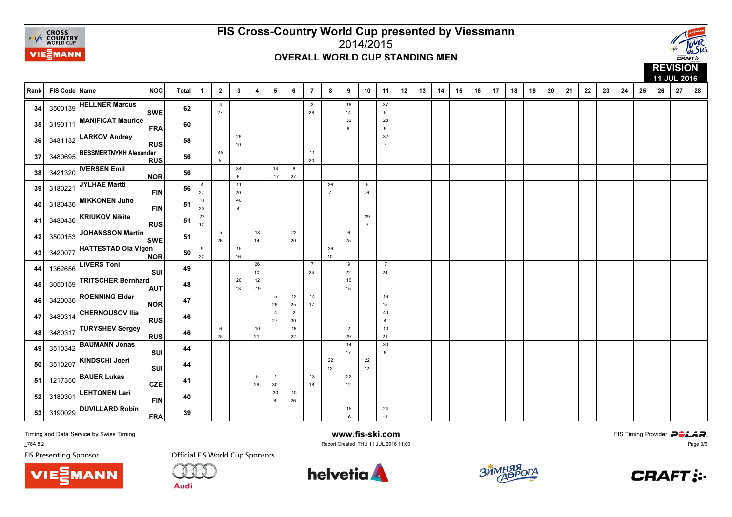



|      |                 |                                             |              |                       |                        |                        |              |                        |                       |                       |           |                       |                        |                       |    |    |    |    |    |    |    |    |    |    |    |    |    |    |    | 11 JUL 2016 |    |
|------|-----------------|---------------------------------------------|--------------|-----------------------|------------------------|------------------------|--------------|------------------------|-----------------------|-----------------------|-----------|-----------------------|------------------------|-----------------------|----|----|----|----|----|----|----|----|----|----|----|----|----|----|----|-------------|----|
| Rank | FIS Code   Name | <b>NOC</b>                                  | <b>Total</b> | $\overline{1}$        | $\overline{2}$         | $\mathbf{3}$           | 4            | 5                      | 6                     | $\overline{7}$        | 8         | 9                     | 10                     | 11                    | 12 | 13 | 14 | 15 | 16 | 17 | 18 | 19 | 20 | 21 | 22 | 23 | 24 | 25 | 26 | 27          | 28 |
| 34   |                 | 3500139 HELLNER Marcus<br><b>SWE</b>        | 62           |                       | $\overline{4}$<br>27.  |                        |              |                        |                       | $\mathbf{3}$<br>28.   |           | 18<br>14.             |                        | 37<br>5.              |    |    |    |    |    |    |    |    |    |    |    |    |    |    |    |             |    |
| 35   | 3190111         | <b>MANIFICAT Maurice</b><br><b>FRA</b>      | 60           |                       |                        |                        |              |                        |                       |                       |           | 32<br>8               |                        | 28<br>9.              |    |    |    |    |    |    |    |    |    |    |    |    |    |    |    |             |    |
| 36   | 3481132         | <b>LARKOV Andrey</b><br><b>RUS</b>          | 58           |                       |                        | 26<br>10.              |              |                        |                       |                       |           |                       |                        | 32<br>7.              |    |    |    |    |    |    |    |    |    |    |    |    |    |    |    |             |    |
| 37   | 3480695         | <b>BESSMERTNYKH Alexander</b><br><b>RUS</b> | 56           |                       | 45<br>5.               |                        |              |                        |                       | 11<br>20.             |           |                       |                        |                       |    |    |    |    |    |    |    |    |    |    |    |    |    |    |    |             |    |
| 38   | 3421320         | <b>IVERSEN Emil</b><br><b>NOR</b>           | 56           |                       |                        | 34<br>6.               |              | 14<br>$=17$            | 8<br>27.              |                       |           |                       |                        |                       |    |    |    |    |    |    |    |    |    |    |    |    |    |    |    |             |    |
| 39   | 3180221         | JYLHAE Martti<br><b>FIN</b>                 | 56           | $\overline{4}$<br>27. |                        | 11<br>20.              |              |                        |                       |                       | 36<br>7.  |                       | $5\overline{5}$<br>26. |                       |    |    |    |    |    |    |    |    |    |    |    |    |    |    |    |             |    |
| 40   | 3180436         | <b>MIKKONEN Juho</b><br><b>FIN</b>          | 51           | 11<br>20.             |                        | 40<br>$\overline{4}$ . |              |                        |                       |                       |           |                       |                        |                       |    |    |    |    |    |    |    |    |    |    |    |    |    |    |    |             |    |
| 41   | 3480436         | <b>KRIUKOV Nikita</b><br><b>RUS</b>         | 51           | 22<br>12.             |                        |                        |              |                        |                       |                       |           |                       | 29<br>9.               |                       |    |    |    |    |    |    |    |    |    |    |    |    |    |    |    |             |    |
| 42   | 3500153         | <b>JOHANSSON Martin</b><br><b>SWE</b>       | 51           |                       | $5\overline{5}$<br>26. |                        | 18<br>14.    |                        | 22<br>20.             |                       |           | 6<br>25.              |                        |                       |    |    |    |    |    |    |    |    |    |    |    |    |    |    |    |             |    |
| 43   | 3420077         | <b>HATTESTAD Ola Vigen</b><br><b>NOR</b>    | 50           | 9<br>22.              |                        | 15<br>16.              |              |                        |                       |                       | 26<br>10. |                       |                        |                       |    |    |    |    |    |    |    |    |    |    |    |    |    |    |    |             |    |
| 44   | 1362656         | <b>LIVERS Toni</b><br>SUI                   | 49           |                       |                        |                        | 26<br>10.    |                        |                       | $\overline{7}$<br>24. |           | 9<br>22.              |                        | $\overline{7}$<br>24. |    |    |    |    |    |    |    |    |    |    |    |    |    |    |    |             |    |
| 45   | 3050159         | <b>TRITSCHER Bernhard</b><br><b>AUT</b>     | 48           |                       |                        | 20<br>13.              | 12<br>$=19.$ |                        |                       |                       |           | 16<br>15.             |                        |                       |    |    |    |    |    |    |    |    |    |    |    |    |    |    |    |             |    |
| 46   | 3420036         | <b>ROENNING Eldar</b><br><b>NOR</b>         | 47           |                       |                        |                        |              | $5\overline{5}$<br>26. | 12<br>25.             | 14<br>17.             |           |                       |                        | 16<br>15.             |    |    |    |    |    |    |    |    |    |    |    |    |    |    |    |             |    |
| 47   | 3480314         | <b>CHERNOUSOV Ilia</b><br><b>RUS</b>        | 46           |                       |                        |                        |              | $\overline{4}$<br>27.  | $\overline{2}$<br>30. |                       |           |                       |                        | 40<br>$\overline{4}$  |    |    |    |    |    |    |    |    |    |    |    |    |    |    |    |             |    |
| 48   | 3480317         | <b>TURYSHEV Sergey</b><br><b>RUS</b>        | 46           |                       | 6<br>25.               |                        | 10<br>21.    |                        | 18<br>22.             |                       |           | $\overline{2}$<br>29. |                        | 10<br>21.             |    |    |    |    |    |    |    |    |    |    |    |    |    |    |    |             |    |
| 49   | 3510342         | <b>BAUMANN Jonas</b><br>SUI                 | 44           |                       |                        |                        |              |                        |                       |                       |           | 14<br>17.             |                        | 30<br>8.              |    |    |    |    |    |    |    |    |    |    |    |    |    |    |    |             |    |
| 50   | 3510207         | KINDSCHI Joeri<br>SUI                       | 44           |                       |                        |                        |              |                        |                       |                       | 22<br>12. |                       | 22<br>12.              |                       |    |    |    |    |    |    |    |    |    |    |    |    |    |    |    |             |    |
| 51   | 1217350         | <b>BAUER Lukas</b><br><b>CZE</b>            | 41           |                       |                        |                        | 5<br>26.     | $\overline{1}$<br>30.  |                       | 13<br>18.             |           | 22<br>12.             |                        |                       |    |    |    |    |    |    |    |    |    |    |    |    |    |    |    |             |    |
| 52   | 3180301         | <b>LEHTONEN Lari</b><br><b>FIN</b>          | 40           |                       |                        |                        |              | 30<br>8.               | 10<br>26.             |                       |           |                       |                        |                       |    |    |    |    |    |    |    |    |    |    |    |    |    |    |    |             |    |
| 53   | 3190029         | <b>DUVILLARD Robin</b><br><b>FRA</b>        | 39           |                       |                        |                        |              |                        |                       |                       |           | 15<br>16.             |                        | 24<br>11.             |    |    |    |    |    |    |    |    |    |    |    |    |    |    |    |             |    |

Timing and Data Service by Swiss Timing

MANN

\_78A 8.2

**FIS Presenting Sponsor** 

**Official FIS World Cup Sponsors** 

**Audi** 



www.fis-ski.com

Report Created THU 11 JUL 2016 11:00



**m**<br>FIS Timing Provider<br>Is 11:00



Page 3/6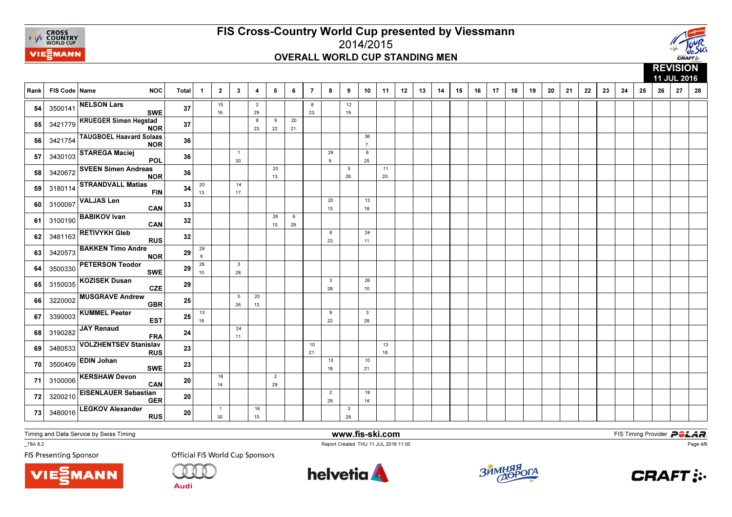



|      |               |                                              |              |                |                       |                       |                       |                       |           |                |                       |                        |                                |           |    |    |    |    |    |    |    |    |    |    |    |    |    |    |    | 11 JUL 2016 |    |
|------|---------------|----------------------------------------------|--------------|----------------|-----------------------|-----------------------|-----------------------|-----------------------|-----------|----------------|-----------------------|------------------------|--------------------------------|-----------|----|----|----|----|----|----|----|----|----|----|----|----|----|----|----|-------------|----|
| Rank | FIS Code Name | <b>NOC</b>                                   | <b>Total</b> | $\overline{1}$ | $\overline{2}$        | $\mathbf{3}$          | 4                     | 5                     | - 6       | $\overline{7}$ | 8                     | 9                      | 10                             | 11        | 12 | 13 | 14 | 15 | 16 | 17 | 18 | 19 | 20 | 21 | 22 | 23 | 24 | 25 | 26 | 27          | 28 |
| 54   |               | 3500141 NELSON Lars<br><b>SWE</b>            | 37           |                | 15<br>16.             |                       | $\overline{2}$<br>29. |                       |           | 8<br>23.       |                       | 12<br>19.              |                                |           |    |    |    |    |    |    |    |    |    |    |    |    |    |    |    |             |    |
| 55   |               | 3421779 KRUEGER Simen Hegstad<br><b>NOR</b>  | 37           |                |                       |                       | 8<br>23.              | 9<br>22.              | 20<br>21. |                |                       |                        |                                |           |    |    |    |    |    |    |    |    |    |    |    |    |    |    |    |             |    |
| 56   | 3421754       | <b>TAUGBOEL Haavard Solaas</b><br><b>NOR</b> | 36           |                |                       |                       |                       |                       |           |                |                       |                        | 36<br>7.                       |           |    |    |    |    |    |    |    |    |    |    |    |    |    |    |    |             |    |
| 57   | 3430103       | <b>STAREGA Maciej</b><br>POL                 | 36           |                |                       | $\overline{1}$<br>30. |                       |                       |           |                | 29<br>9.              |                        | 6<br>25.                       |           |    |    |    |    |    |    |    |    |    |    |    |    |    |    |    |             |    |
| 58   | 3420672       | <b>SVEEN Simen Andreas</b><br><b>NOR</b>     | 36           |                |                       |                       |                       | 20<br>13.             |           |                |                       | $5\phantom{.0}$<br>26. |                                | 11<br>20. |    |    |    |    |    |    |    |    |    |    |    |    |    |    |    |             |    |
| 59   | 3180114       | <b>STRANDVALL Matias</b><br><b>FIN</b>       | 34           | 20<br>13.      |                       | 14<br>17.             |                       |                       |           |                |                       |                        |                                |           |    |    |    |    |    |    |    |    |    |    |    |    |    |    |    |             |    |
| 60   | 3100097       | <b>VALJAS Len</b><br>CAN                     | 33           |                |                       |                       |                       |                       |           |                | 20<br>13.             |                        | 13<br>18.                      |           |    |    |    |    |    |    |    |    |    |    |    |    |    |    |    |             |    |
| 61   |               | 3100190 BABIKOV Ivan<br>CAN                  | 32           |                |                       |                       |                       | 26<br>10.             | 6<br>28.  |                |                       |                        |                                |           |    |    |    |    |    |    |    |    |    |    |    |    |    |    |    |             |    |
| 62   |               | 3481163 RETIVYKH Gleb<br><b>RUS</b>          | 32           |                |                       |                       |                       |                       |           |                | 8<br>23.              |                        | 24<br>11.                      |           |    |    |    |    |    |    |    |    |    |    |    |    |    |    |    |             |    |
| 63   | 3420573       | <b>BAKKEN Timo Andre</b><br><b>NOR</b>       | 29           | 29<br>9.       |                       |                       |                       |                       |           |                |                       |                        |                                |           |    |    |    |    |    |    |    |    |    |    |    |    |    |    |    |             |    |
| 64   | 3500330       | <b>PETERSON Teodor</b><br><b>SWE</b>         | 29           | 26<br>10.      |                       | $\mathbf{3}$<br>28.   |                       |                       |           |                |                       |                        |                                |           |    |    |    |    |    |    |    |    |    |    |    |    |    |    |    |             |    |
| 65   | 3150035       | <b>KOZISEK Dusan</b><br><b>CZE</b>           | 29           |                |                       |                       |                       |                       |           |                | $\mathbf{3}$<br>28.   |                        | 26<br>10.                      |           |    |    |    |    |    |    |    |    |    |    |    |    |    |    |    |             |    |
| 66   | 3220002       | <b>MUSGRAVE Andrew</b><br><b>GBR</b>         | 25           |                |                       | 5<br>26.              | 20<br>13.             |                       |           |                |                       |                        |                                |           |    |    |    |    |    |    |    |    |    |    |    |    |    |    |    |             |    |
| 67   | 3390003       | <b>KUMMEL Peeter</b><br><b>EST</b>           | 25           | 13<br>18.      |                       |                       |                       |                       |           |                | 9<br>22.              |                        | $\overline{\mathbf{3}}$<br>28. |           |    |    |    |    |    |    |    |    |    |    |    |    |    |    |    |             |    |
| 68   | 3190282       | JAY Renaud<br><b>FRA</b>                     | 24           |                |                       | 24<br>11.             |                       |                       |           |                |                       |                        |                                |           |    |    |    |    |    |    |    |    |    |    |    |    |    |    |    |             |    |
| 69   | 3480533       | <b>VOLZHENTSEV Stanislav</b><br><b>RUS</b>   | 23           |                |                       |                       |                       |                       |           | 10<br>21.      |                       |                        |                                | 13<br>18. |    |    |    |    |    |    |    |    |    |    |    |    |    |    |    |             |    |
| 70   | 3500409       | <b>EDIN Johan</b><br><b>SWE</b>              | 23           |                |                       |                       |                       |                       |           |                | 13<br>18.             |                        | 10<br>21.                      |           |    |    |    |    |    |    |    |    |    |    |    |    |    |    |    |             |    |
| 71   | 3100006       | <b>KERSHAW Devon</b><br>CAN                  | 20           |                | 18<br>14.             |                       |                       | $\overline{2}$<br>29. |           |                |                       |                        |                                |           |    |    |    |    |    |    |    |    |    |    |    |    |    |    |    |             |    |
| 72   | 3200210       | <b>EISENLAUER Sebastian</b><br><b>GER</b>    | 20           |                |                       |                       |                       |                       |           |                | $\overline{2}$<br>29. |                        | 18<br>14.                      |           |    |    |    |    |    |    |    |    |    |    |    |    |    |    |    |             |    |
| 73   | 3480016       | <b>LEGKOV Alexander</b><br><b>RUS</b>        | 20           |                | $\overline{1}$<br>30. |                       | 16<br>15.             |                       |           |                |                       | $\mathbf{3}$<br>28.    |                                |           |    |    |    |    |    |    |    |    |    |    |    |    |    |    |    |             |    |

Timing and Data Service by Swiss Timing

MANN

\_78A 8.2

**FIS Presenting Sponsor** 

**Official FIS World Cup Sponsors** 

**Audi** 



www.fis-ski.com

Report Created THU 11 JUL 2016 11:00



**m**<br>FIS Timing Provider<br>Is 11:00



Page 4/6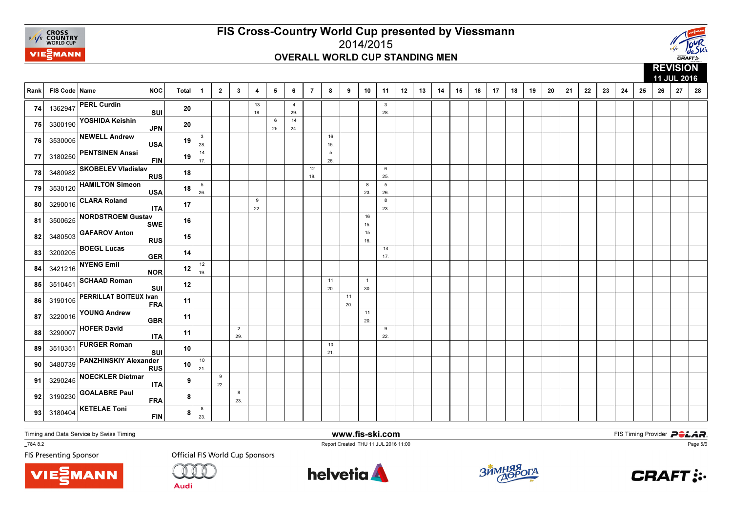



|      |               |                               |            |                |                        |                |                       |           |          |                       |                |                   |           |                       |                        |    |    |    |    |    |    |    |    |    |    |    |    |    |    |    | 11 JUL 2016 |    |
|------|---------------|-------------------------------|------------|----------------|------------------------|----------------|-----------------------|-----------|----------|-----------------------|----------------|-------------------|-----------|-----------------------|------------------------|----|----|----|----|----|----|----|----|----|----|----|----|----|----|----|-------------|----|
| Rank | FIS Code Name |                               | <b>NOC</b> | Total          | $\overline{1}$         | $\overline{2}$ | $\mathbf{3}$          | 4         | 5        | 6                     | $\overline{7}$ | 8                 | 9         | 10                    | 11                     | 12 | 13 | 14 | 15 | 16 | 17 | 18 | 19 | 20 | 21 | 22 | 23 | 24 | 25 | 26 | 27          | 28 |
| 74   |               | 1362947 PERL Curdin           | SUI        | 20             |                        |                |                       | 13<br>18. |          | $\overline{4}$<br>29. |                |                   |           |                       | 3<br>28.               |    |    |    |    |    |    |    |    |    |    |    |    |    |    |    |             |    |
| 75   | 3300190       | YOSHIDA Keishin               | <b>JPN</b> | 20             |                        |                |                       |           | 6<br>25. | 14<br>24.             |                |                   |           |                       |                        |    |    |    |    |    |    |    |    |    |    |    |    |    |    |    |             |    |
| 76   | 3530005       | <b>NEWELL Andrew</b>          | <b>USA</b> | 19             | $\mathbf{3}$<br>28.    |                |                       |           |          |                       |                | 16<br>15.         |           |                       |                        |    |    |    |    |    |    |    |    |    |    |    |    |    |    |    |             |    |
| 77   | 3180250       | <b>PENTSINEN Anssi</b>        | <b>FIN</b> | 19             | 14<br>17.              |                |                       |           |          |                       |                | $\sqrt{5}$<br>26. |           |                       |                        |    |    |    |    |    |    |    |    |    |    |    |    |    |    |    |             |    |
| 78   | 3480982       | <b>SKOBELEV Vladislav</b>     | <b>RUS</b> | 18             |                        |                |                       |           |          |                       | 12<br>19.      |                   |           |                       | 6<br>25.               |    |    |    |    |    |    |    |    |    |    |    |    |    |    |    |             |    |
| 79   | 3530120       | <b>HAMILTON Simeon</b>        | <b>USA</b> | 18             | $5\phantom{.0}$<br>26. |                |                       |           |          |                       |                |                   |           | 8<br>23.              | $5\phantom{.0}$<br>26. |    |    |    |    |    |    |    |    |    |    |    |    |    |    |    |             |    |
| 80   | 3290016       | <b>CLARA Roland</b>           | <b>ITA</b> | 17             |                        |                |                       | 9<br>22.  |          |                       |                |                   |           |                       | 8<br>23.               |    |    |    |    |    |    |    |    |    |    |    |    |    |    |    |             |    |
| 81   | 3500625       | <b>NORDSTROEM Gustav</b>      | <b>SWE</b> | 16             |                        |                |                       |           |          |                       |                |                   |           | 16<br>15.             |                        |    |    |    |    |    |    |    |    |    |    |    |    |    |    |    |             |    |
| 82   | 3480503       | <b>GAFAROV Anton</b>          | <b>RUS</b> | 15             |                        |                |                       |           |          |                       |                |                   |           | 15<br>16.             |                        |    |    |    |    |    |    |    |    |    |    |    |    |    |    |    |             |    |
| 83   | 3200205       | <b>BOEGL Lucas</b>            | <b>GER</b> | 14             |                        |                |                       |           |          |                       |                |                   |           |                       | 14<br>17.              |    |    |    |    |    |    |    |    |    |    |    |    |    |    |    |             |    |
| 84   | 3421216       | <b>NYENG Emil</b>             | <b>NOR</b> | 12             | 12<br>19.              |                |                       |           |          |                       |                |                   |           |                       |                        |    |    |    |    |    |    |    |    |    |    |    |    |    |    |    |             |    |
| 85   | 3510451       | <b>SCHAAD Roman</b>           | SUI        | 12             |                        |                |                       |           |          |                       |                | 11<br>20.         |           | $\overline{1}$<br>30. |                        |    |    |    |    |    |    |    |    |    |    |    |    |    |    |    |             |    |
| 86   | 3190105       | <b>PERRILLAT BOITEUX Ivan</b> | <b>FRA</b> | 11             |                        |                |                       |           |          |                       |                |                   | 11<br>20. |                       |                        |    |    |    |    |    |    |    |    |    |    |    |    |    |    |    |             |    |
| 87   | 3220016       | <b>YOUNG Andrew</b>           | <b>GBR</b> | 11             |                        |                |                       |           |          |                       |                |                   |           | 11<br>20.             |                        |    |    |    |    |    |    |    |    |    |    |    |    |    |    |    |             |    |
| 88   | 3290007       | <b>HOFER David</b>            | <b>ITA</b> | 11             |                        |                | $\overline{2}$<br>29. |           |          |                       |                |                   |           |                       | 9<br>22.               |    |    |    |    |    |    |    |    |    |    |    |    |    |    |    |             |    |
| 89   | 3510351       | <b>FURGER Roman</b>           | SUI        | 10             |                        |                |                       |           |          |                       |                | 10<br>21.         |           |                       |                        |    |    |    |    |    |    |    |    |    |    |    |    |    |    |    |             |    |
| 90   | 3480739       | <b>PANZHINSKIY Alexander</b>  | <b>RUS</b> | 10             | 10<br>21.              |                |                       |           |          |                       |                |                   |           |                       |                        |    |    |    |    |    |    |    |    |    |    |    |    |    |    |    |             |    |
| 91   | 3290245       | <b>NOECKLER Dietmar</b>       | <b>ITA</b> | ا 9            |                        | 9<br>22.       |                       |           |          |                       |                |                   |           |                       |                        |    |    |    |    |    |    |    |    |    |    |    |    |    |    |    |             |    |
| 92   | 3190230       | <b>GOALABRE Paul</b>          | <b>FRA</b> | 8 <sup>1</sup> |                        |                | 8<br>23.              |           |          |                       |                |                   |           |                       |                        |    |    |    |    |    |    |    |    |    |    |    |    |    |    |    |             |    |
| 93   | 3180404       | <b>KETELAE Toni</b>           | <b>FIN</b> | 8              | 8<br>23.               |                |                       |           |          |                       |                |                   |           |                       |                        |    |    |    |    |    |    |    |    |    |    |    |    |    |    |    |             |    |

Timing and Data Service by Swiss Timing

MANN

\_78A 8.2

**FIS Presenting Sponsor** 

**Official FIS World Cup Sponsors** 

**Audi** 



www.fis-ski.com

Report Created THU 11 JUL 2016 11:00



**m**<br>FIS Timing Provider<br>Is 11:00



Page 5/6